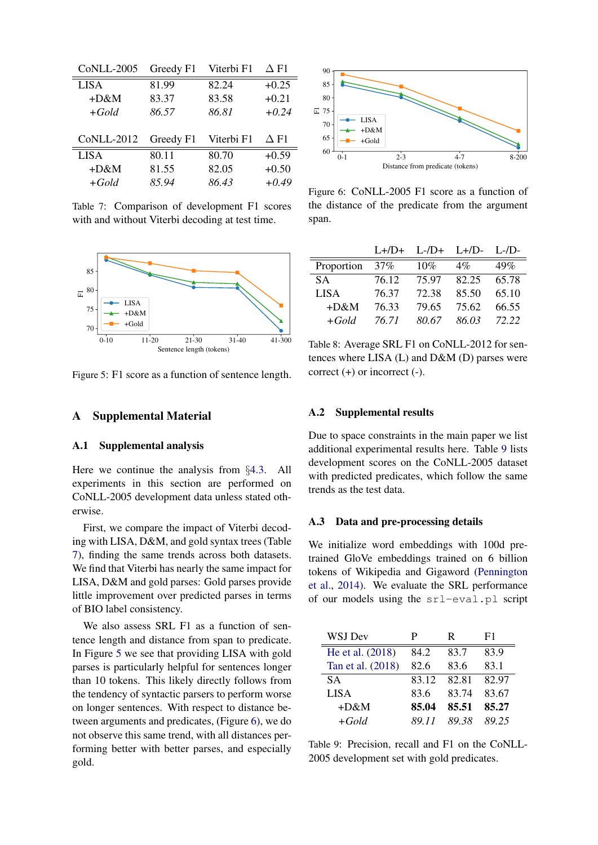<span id="page-0-7"></span><span id="page-0-1"></span>

| CoNLL-2005        | Greedy F1 | Viterbi F1 | $\Delta$ F1 |
|-------------------|-----------|------------|-------------|
| <b>LISA</b>       | 81.99     | 82.24      | $+0.25$     |
| $+D&M$            | 83.37     | 83.58      | $+0.21$     |
| $+Gold$           | 86.57     | 86.81      | $+0.24$     |
|                   |           |            |             |
|                   |           |            |             |
| <b>CoNLL-2012</b> | Greedy F1 | Viterbi F1 | $\Delta$ F1 |
| <b>LISA</b>       | 80.11     | 80.70      | $+0.59$     |
| $+D&M$            | 81.55     | 82.05      | $+0.50$     |

<span id="page-0-10"></span>Table 7: Comparison of development F1 scores with and without Viterbi decoding at test time.

<span id="page-0-2"></span>

<span id="page-0-22"></span>Figure 5: F1 score as a function of sentence length.

### A Supplemental Material

#### A.1 Supplemental analysis

Here we continue the analysis from *§*[4.3.](#page-0-0) All experiments in this section are performed on CoNLL-2005 development data unless stated otherwise.

<span id="page-0-17"></span><span id="page-0-16"></span>First, we compare the impact of Viterbi decoding with LISA, D&M, and gold syntax trees (Table [7\)](#page-0-1), finding the same trends across both datasets. We find that Viterbi has nearly the same impact for LISA, D&M and gold parses: Gold parses provide little improvement over predicted parses in terms of BIO label consistency.

<span id="page-0-21"></span><span id="page-0-15"></span><span id="page-0-13"></span><span id="page-0-12"></span><span id="page-0-11"></span><span id="page-0-9"></span><span id="page-0-8"></span>We also assess SRL F1 as a function of sentence length and distance from span to predicate. In Figure [5](#page-0-2) we see that providing LISA with gold parses is particularly helpful for sentences longer than 10 tokens. This likely directly follows from the tendency of syntactic parsers to perform worse on longer sentences. With respect to distance between arguments and predicates, (Figure [6\)](#page-0-3), we do not observe this same trend, with all distances performing better with better parses, and especially gold.

<span id="page-0-5"></span><span id="page-0-3"></span>

<span id="page-0-19"></span><span id="page-0-14"></span>Figure 6: CoNLL-2005 F1 score as a function of the distance of the predicate from the argument span.

|             |        | $L+/D+$ $L-/D+$ $L+/D L-/D-$ |       |       |
|-------------|--------|------------------------------|-------|-------|
| Proportion  | $37\%$ | 10%                          | $4\%$ | 49%   |
| SA.         | 76.12  | 75.97                        | 82.25 | 65.78 |
| <b>LISA</b> | 76.37  | 72.38                        | 85.50 | 65.10 |
| $+D&M$      | 76.33  | 79.65                        | 75.62 | 66.55 |
| $+Gold$     | 76 71  | 80.67                        | 86.03 | 72.22 |

<span id="page-0-18"></span>Table 8: Average SRL F1 on CoNLL-2012 for sentences where LISA (L) and D&M (D) parses were correct  $(+)$  or incorrect  $(-)$ .

#### A.2 Supplemental results

Due to space constraints in the main paper we list additional experimental results here. Table [9](#page-0-4) lists development scores on the CoNLL-2005 dataset with predicted predicates, which follow the same trends as the test data.

#### <span id="page-0-6"></span>A.3 Data and pre-processing details

We initialize word embeddings with 100d pretrained GloVe embeddings trained on 6 billion tokens of Wikipedia and Gigaword [\(Pennington](#page-0-5) [et al.,](#page-0-5) [2014\)](#page-0-5). We evaluate the SRL performance of our models using the srl-eval.pl script

<span id="page-0-20"></span><span id="page-0-4"></span><span id="page-0-0"></span>

| WSJ Dev           | Р     | R     | F1    |
|-------------------|-------|-------|-------|
| He et al. (2018)  | 84.2  | 83.7  | 83.9  |
| Tan et al. (2018) | 82.6  | 83.6  | 83.1  |
| <b>SA</b>         | 83.12 | 82.81 | 82.97 |
| <b>LISA</b>       | 83.6  | 83.74 | 83.67 |
| $+D&M$            | 85.04 | 85.51 | 85.27 |
| $+Gold$           | 89 11 | 89.38 | 89 25 |

<span id="page-0-23"></span>Table 9: Precision, recall and F1 on the CoNLL-2005 development set with gold predicates.